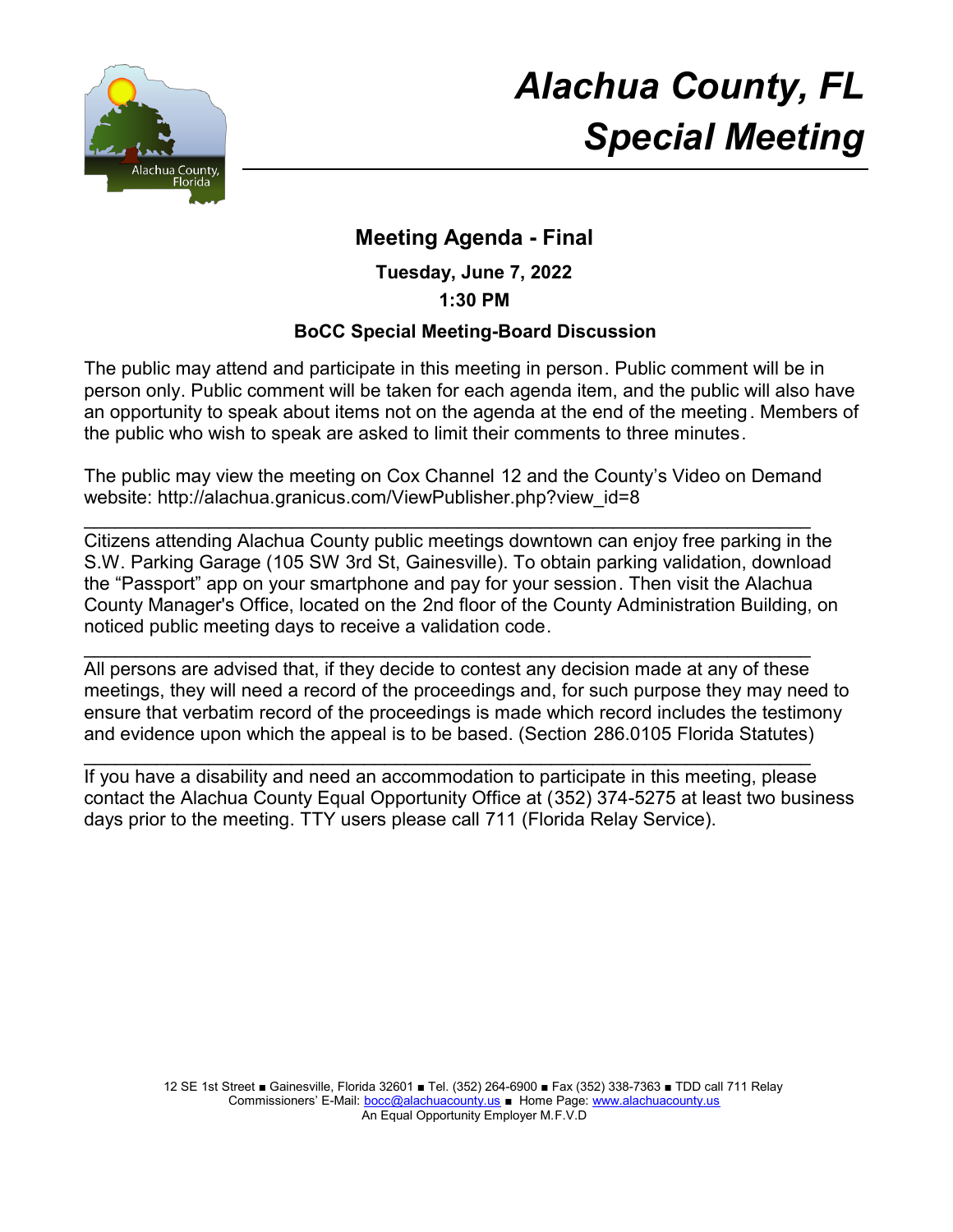

# *Alachua County, FL Special Meeting*

# **Meeting Agenda - Final**

**Tuesday, June 7, 2022**

**1:30 PM**

#### **BoCC Special Meeting-Board Discussion**

The public may attend and participate in this meeting in person. Public comment will be in person only. Public comment will be taken for each agenda item, and the public will also have an opportunity to speak about items not on the agenda at the end of the meeting. Members of the public who wish to speak are asked to limit their comments to three minutes.

The public may view the meeting on Cox Channel 12 and the County's Video on Demand website: http://alachua.granicus.com/ViewPublisher.php?view\_id=8

\_\_\_\_\_\_\_\_\_\_\_\_\_\_\_\_\_\_\_\_\_\_\_\_\_\_\_\_\_\_\_\_\_\_\_\_\_\_\_\_\_\_\_\_\_\_\_\_\_\_\_\_\_\_\_\_\_\_\_\_\_\_\_\_\_\_\_\_\_\_

Citizens attending Alachua County public meetings downtown can enjoy free parking in the S.W. Parking Garage (105 SW 3rd St, Gainesville). To obtain parking validation, download the "Passport" app on your smartphone and pay for your session. Then visit the Alachua County Manager's Office, located on the 2nd floor of the County Administration Building, on noticed public meeting days to receive a validation code.

 $\mathcal{L}_\text{max}$  , and the contribution of the contribution of the contribution of the contribution of the contribution of the contribution of the contribution of the contribution of the contribution of the contribution of t All persons are advised that, if they decide to contest any decision made at any of these meetings, they will need a record of the proceedings and, for such purpose they may need to ensure that verbatim record of the proceedings is made which record includes the testimony and evidence upon which the appeal is to be based. (Section 286.0105 Florida Statutes)

 $\mathcal{L}_\text{max}$  , and the contribution of the contribution of the contribution of the contribution of the contribution of the contribution of the contribution of the contribution of the contribution of the contribution of t If you have a disability and need an accommodation to participate in this meeting, please contact the Alachua County Equal Opportunity Office at (352) 374-5275 at least two business days prior to the meeting. TTY users please call 711 (Florida Relay Service).